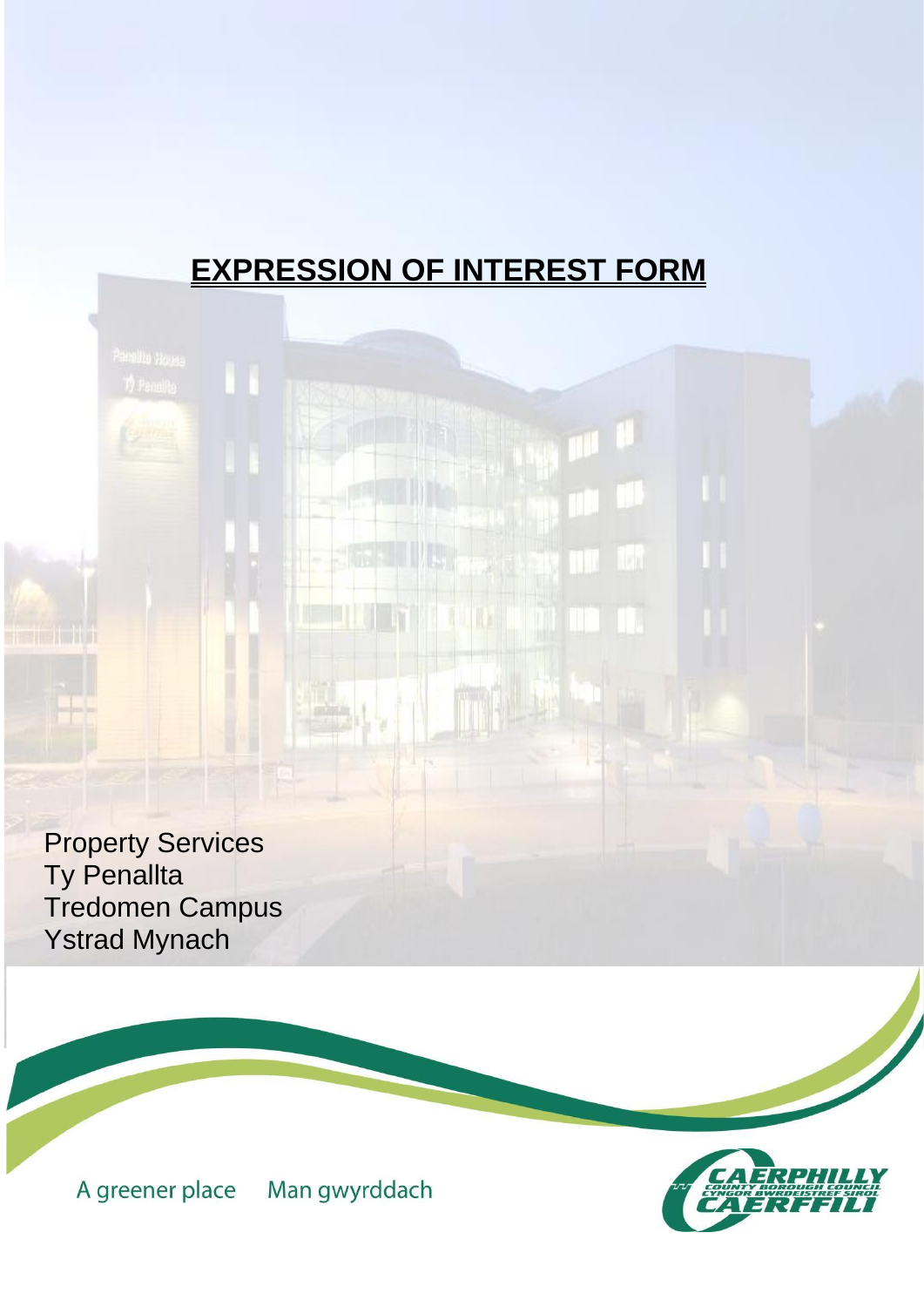# **EXPRESSION OF INTEREST FORM**

Property Services Ty Penallta Tredomen Campus Ystrad Mynach

> Man gwyrddach A greener place

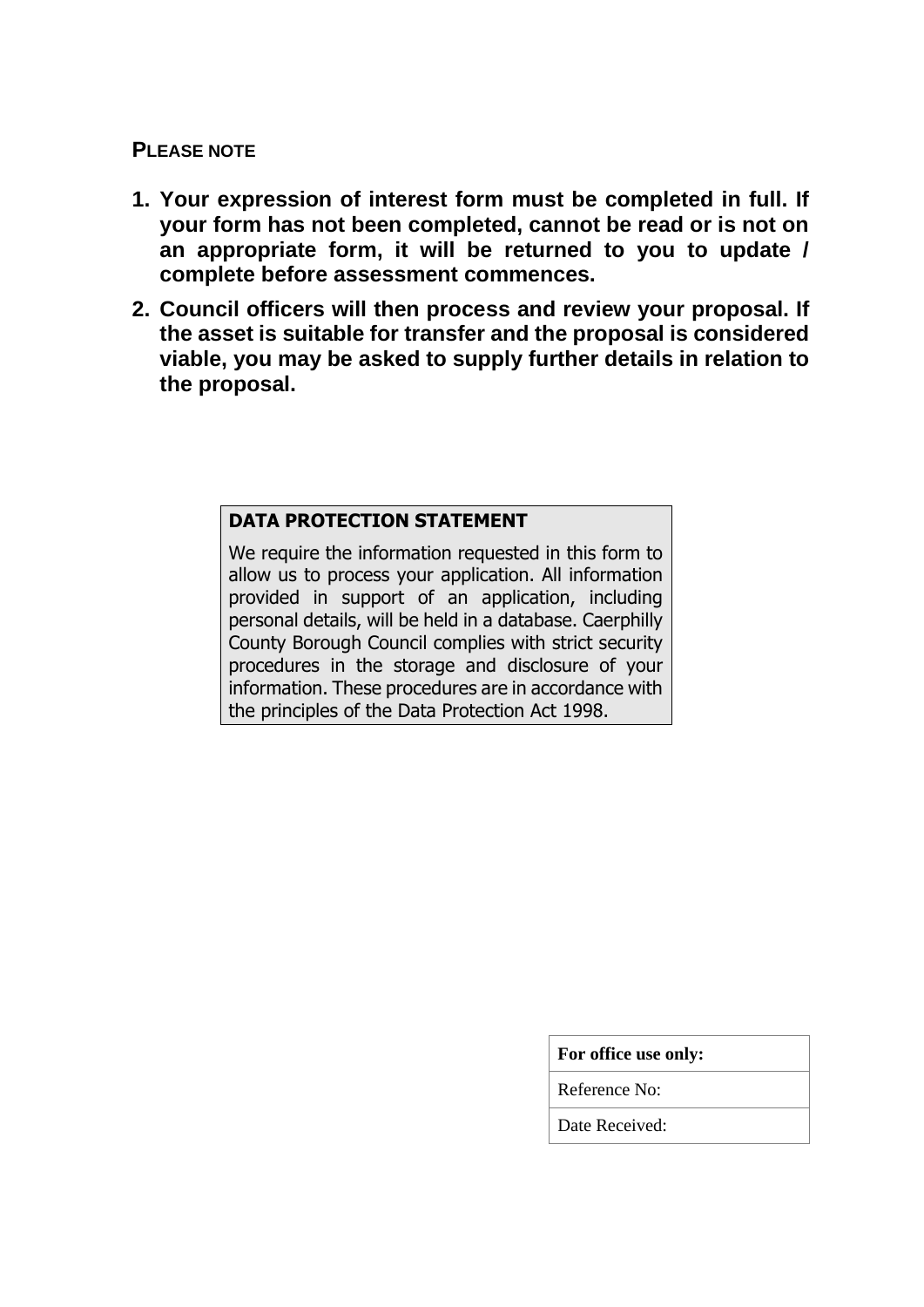## **PLEASE NOTE**

- **1. Your expression of interest form must be completed in full. If your form has not been completed, cannot be read or is not on an appropriate form, it will be returned to you to update / complete before assessment commences.**
- **2. Council officers will then process and review your proposal. If the asset is suitable for transfer and the proposal is considered viable, you may be asked to supply further details in relation to the proposal.**

## **DATA PROTECTION STATEMENT**

We require the information requested in this form to allow us to process your application. All information provided in support of an application, including personal details, will be held in a database. Caerphilly County Borough Council complies with strict security procedures in the storage and disclosure of your information. These procedures are in accordance with the principles of the Data Protection Act 1998.

|  | For office use only: |  |  |
|--|----------------------|--|--|
|--|----------------------|--|--|

Reference No:

Date Received: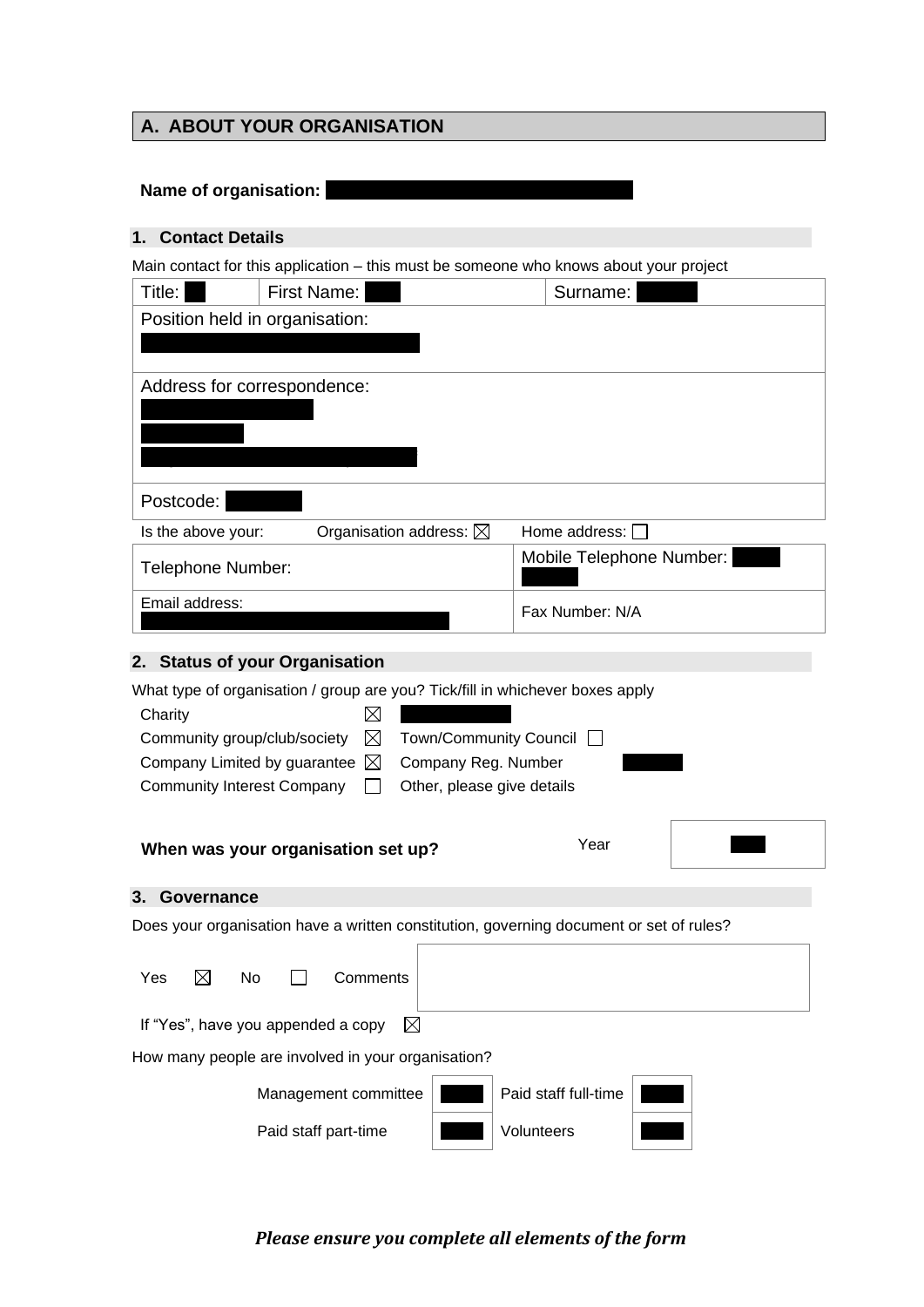# **A. ABOUT YOUR ORGANISATION**

# **Name of organisation:**

## **1. Contact Details**

Main contact for this application – this must be someone who knows about your project

| Title:                         | First Name:                       | Surname:                 |
|--------------------------------|-----------------------------------|--------------------------|
| Position held in organisation: |                                   |                          |
|                                |                                   |                          |
| Address for correspondence:    |                                   |                          |
|                                |                                   |                          |
| Postcode:                      |                                   |                          |
| Is the above your:             | Organisation address: $\boxtimes$ | Home address:            |
| Telephone Number:              |                                   | Mobile Telephone Number: |
| Email address:                 |                                   | Fax Number: N/A          |

# **2. Status of your Organisation**

| What type of organisation / group are you? Tick/fill in whichever boxes apply           |                     |                            |  |
|-----------------------------------------------------------------------------------------|---------------------|----------------------------|--|
| Charity<br>IХ                                                                           |                     |                            |  |
| $\boxtimes$<br>Community group/club/society                                             |                     | Town/Community Council □   |  |
| Company Limited by guarantee $\boxtimes$                                                | Company Reg. Number |                            |  |
| <b>Community Interest Company</b>                                                       |                     | Other, please give details |  |
|                                                                                         |                     |                            |  |
|                                                                                         |                     | Year                       |  |
| When was your organisation set up?                                                      |                     |                            |  |
| Governance<br>3.                                                                        |                     |                            |  |
| Does your organisation have a written constitution, governing document or set of rules? |                     |                            |  |
| $\boxtimes$<br>Yes<br>No<br>Comments                                                    |                     |                            |  |
| If "Yes", have you appended a copy<br>$\boxtimes$                                       |                     |                            |  |
| How many people are involved in your organisation?                                      |                     |                            |  |
| Management committee                                                                    |                     | Paid staff full-time       |  |
| Paid staff part-time                                                                    |                     | Volunteers                 |  |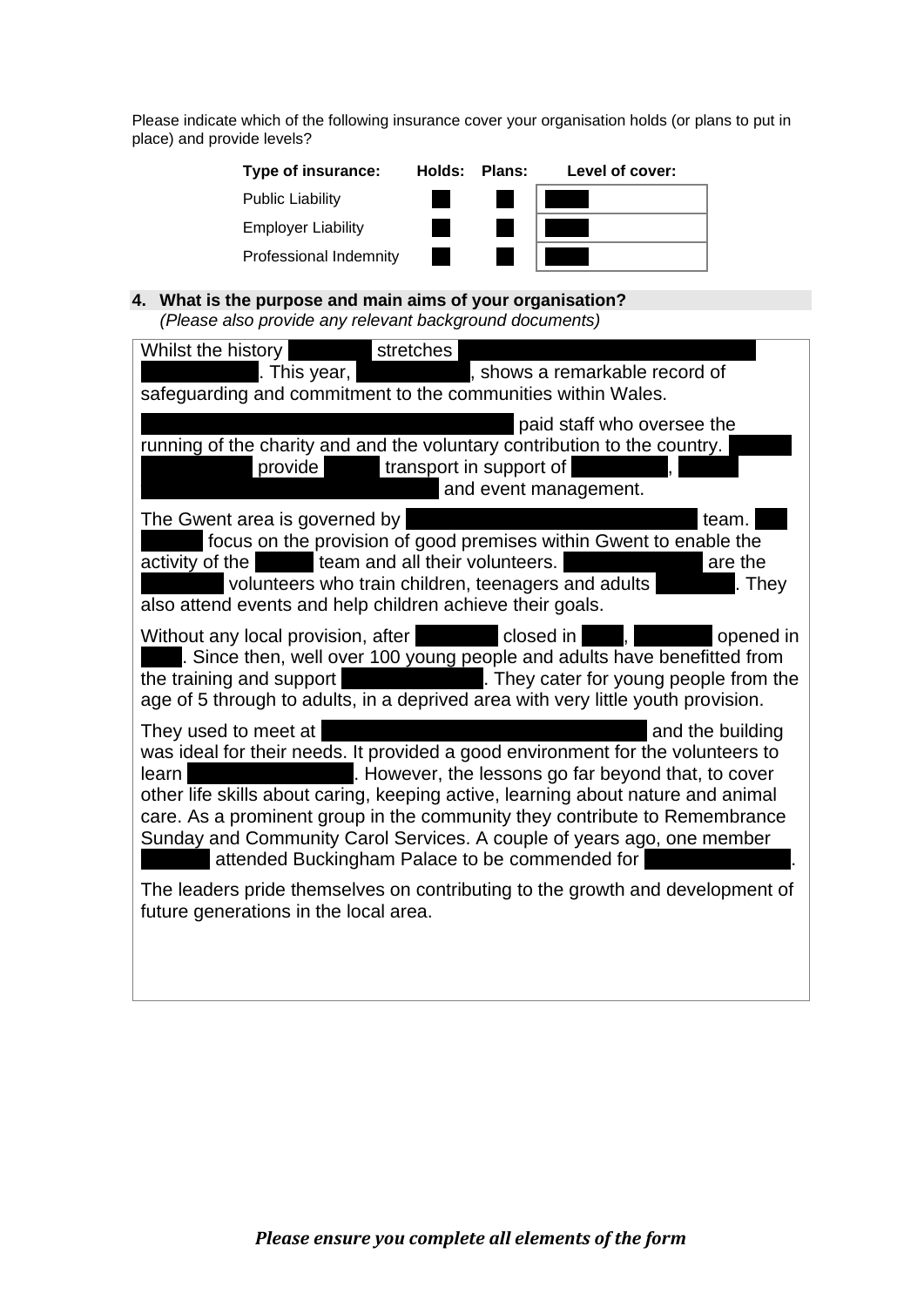Please indicate which of the following insurance cover your organisation holds (or plans to put in place) and provide levels?

| Type of insurance:        | Holds: | Plans: | Level of cover: |
|---------------------------|--------|--------|-----------------|
| <b>Public Liability</b>   |        |        |                 |
| <b>Employer Liability</b> |        |        |                 |
| Professional Indemnity    |        |        |                 |

### **4. What is the purpose and main aims of your organisation?**  *(Please also provide any relevant background documents)*

| Whilst the history<br>stretches<br>. This year,<br>, shows a remarkable record of<br>safeguarding and commitment to the communities within Wales.                                                                                                                                                                                                                                                                                                                                         |
|-------------------------------------------------------------------------------------------------------------------------------------------------------------------------------------------------------------------------------------------------------------------------------------------------------------------------------------------------------------------------------------------------------------------------------------------------------------------------------------------|
|                                                                                                                                                                                                                                                                                                                                                                                                                                                                                           |
| paid staff who oversee the<br>running of the charity and and the voluntary contribution to the country.<br>transport in support of<br>provide<br>and event management.                                                                                                                                                                                                                                                                                                                    |
| The Gwent area is governed by<br>team.<br>focus on the provision of good premises within Gwent to enable the<br>team and all their volunteers.<br>activity of the<br>are the<br>volunteers who train children, teenagers and adults<br>. They<br>also attend events and help children achieve their goals.                                                                                                                                                                                |
| Without any local provision, after <b>the closed in</b><br>opened in<br><u>an a</u><br>. Since then, well over 100 young people and adults have benefitted from<br>. They cater for young people from the<br>the training and support<br>age of 5 through to adults, in a deprived area with very little youth provision.                                                                                                                                                                 |
| They used to meet at<br>and the building<br>was ideal for their needs. It provided a good environment for the volunteers to<br>. However, the lessons go far beyond that, to cover<br>learn<br>other life skills about caring, keeping active, learning about nature and animal<br>care. As a prominent group in the community they contribute to Remembrance<br>Sunday and Community Carol Services. A couple of years ago, one member<br>attended Buckingham Palace to be commended for |
| The leaders pride themselves on contributing to the growth and development of<br>future generations in the local area.                                                                                                                                                                                                                                                                                                                                                                    |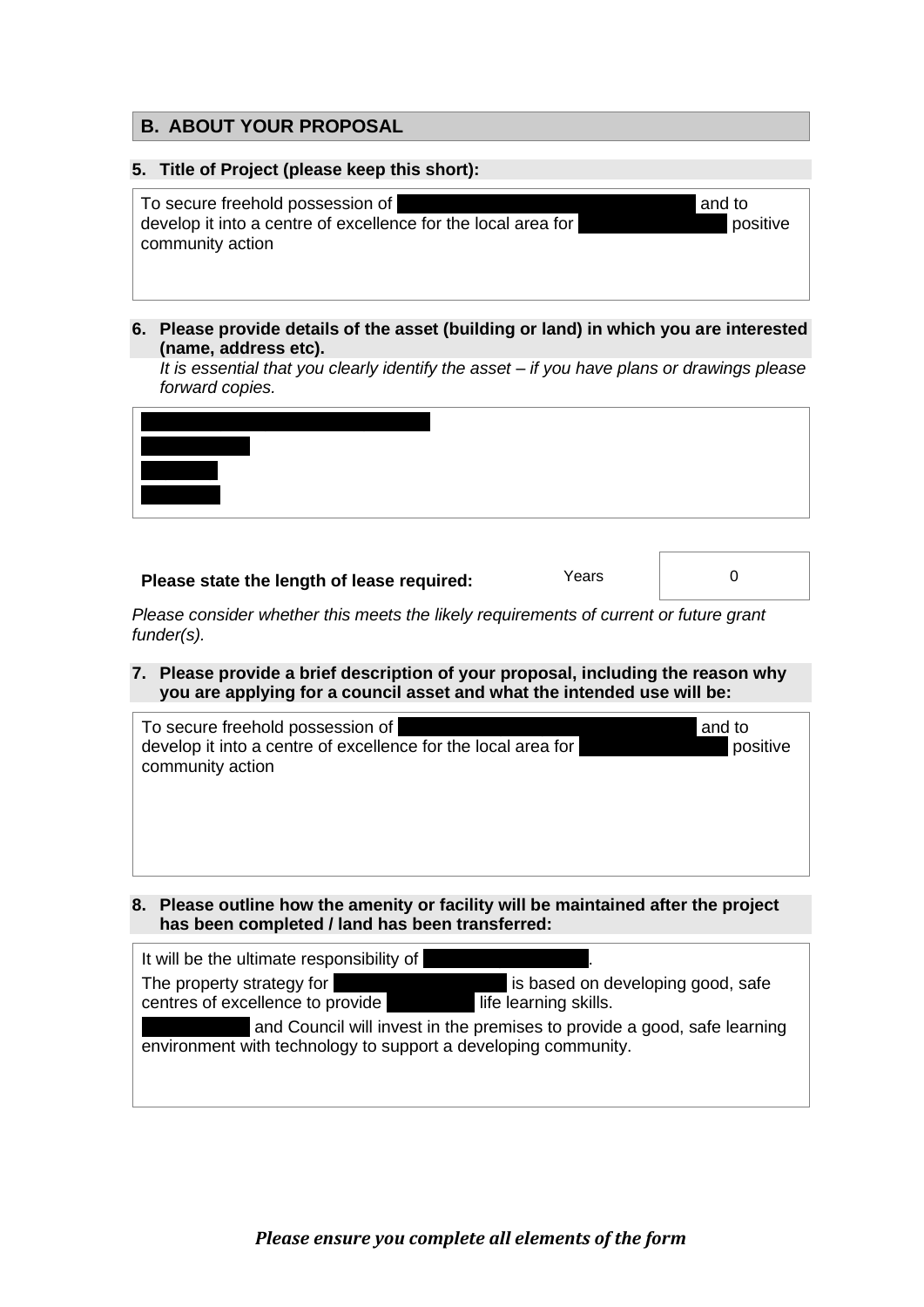## **B. ABOUT YOUR PROPOSAL**

#### **5. Title of Project (please keep this short):**

| To secure freehold possession of                              | and to |
|---------------------------------------------------------------|--------|
| develop it into a centre of excellence for the local area for | l po   |
| community action                                              |        |

**6. Please provide details of the asset (building or land) in which you are interested (name, address etc).**

*It is essential that you clearly identify the asset – if you have plans or drawings please forward copies.* 

## **Please state the length of lease required:** Years Measure 1

**b** positive

*Please consider whether this meets the likely requirements of current or future grant funder(s).* 

**7. Please provide a brief description of your proposal, including the reason why you are applying for a council asset and what the intended use will be:** 

| To secure freehold possession of<br>develop it into a centre of excellence for the local area for<br>community action | and to<br>positive |
|-----------------------------------------------------------------------------------------------------------------------|--------------------|
|                                                                                                                       |                    |
|                                                                                                                       |                    |
|                                                                                                                       |                    |

**8. Please outline how the amenity or facility will be maintained after the project has been completed / land has been transferred:** 

| It will be the ultimate responsibility of                      |                                                                          |
|----------------------------------------------------------------|--------------------------------------------------------------------------|
| The property strategy for<br>centres of excellence to provide  | is based on developing good, safe<br>life learning skills.               |
| environment with technology to support a developing community. | and Council will invest in the premises to provide a good, safe learning |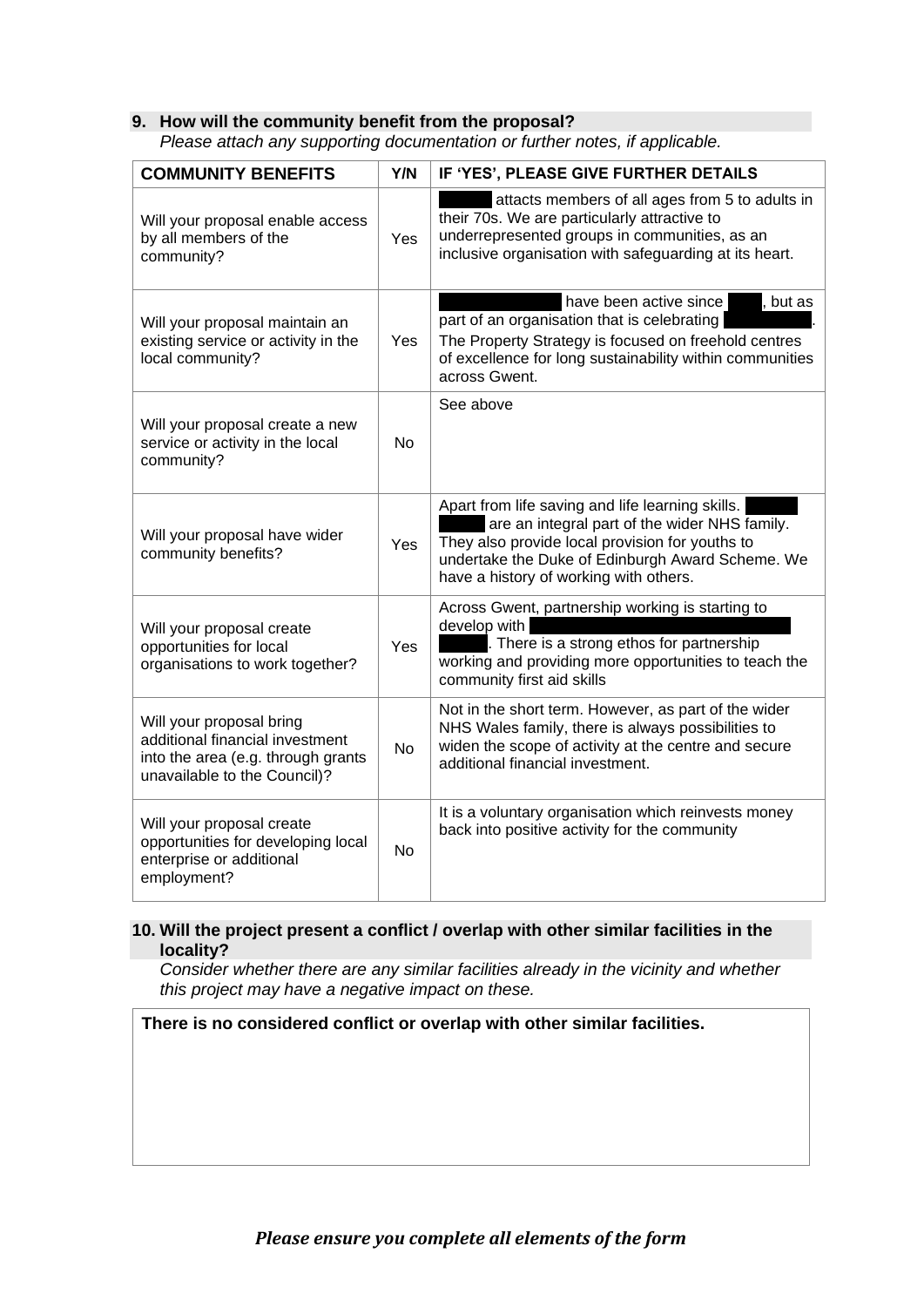#### **9. How will the community benefit from the proposal?**

*Please attach any supporting documentation or further notes, if applicable.*

| <b>COMMUNITY BENEFITS</b>                                                                                                         | Y/N       | IF 'YES', PLEASE GIVE FURTHER DETAILS                                                                                                                                                                                                              |
|-----------------------------------------------------------------------------------------------------------------------------------|-----------|----------------------------------------------------------------------------------------------------------------------------------------------------------------------------------------------------------------------------------------------------|
| Will your proposal enable access<br>by all members of the<br>community?                                                           | Yes       | attacts members of all ages from 5 to adults in<br>their 70s. We are particularly attractive to<br>underrepresented groups in communities, as an<br>inclusive organisation with safeguarding at its heart.                                         |
| Will your proposal maintain an<br>existing service or activity in the<br>local community?                                         | Yes       | have been active since<br>, but as<br>part of an organisation that is celebrating<br>The Property Strategy is focused on freehold centres<br>of excellence for long sustainability within communities<br>across Gwent.                             |
| Will your proposal create a new<br>service or activity in the local<br>community?                                                 | <b>No</b> | See above                                                                                                                                                                                                                                          |
| Will your proposal have wider<br>community benefits?                                                                              | Yes       | Apart from life saving and life learning skills.<br>are an integral part of the wider NHS family.<br>They also provide local provision for youths to<br>undertake the Duke of Edinburgh Award Scheme. We<br>have a history of working with others. |
| Will your proposal create<br>opportunities for local<br>organisations to work together?                                           | Yes       | Across Gwent, partnership working is starting to<br>develop with<br>. There is a strong ethos for partnership<br>working and providing more opportunities to teach the<br>community first aid skills                                               |
| Will your proposal bring<br>additional financial investment<br>into the area (e.g. through grants<br>unavailable to the Council)? | <b>No</b> | Not in the short term. However, as part of the wider<br>NHS Wales family, there is always possibilities to<br>widen the scope of activity at the centre and secure<br>additional financial investment.                                             |
| Will your proposal create<br>opportunities for developing local<br>enterprise or additional<br>employment?                        | <b>No</b> | It is a voluntary organisation which reinvests money<br>back into positive activity for the community                                                                                                                                              |

#### **10. Will the project present a conflict / overlap with other similar facilities in the locality?**

*Consider whether there are any similar facilities already in the vicinity and whether this project may have a negative impact on these.* 

**There is no considered conflict or overlap with other similar facilities.**